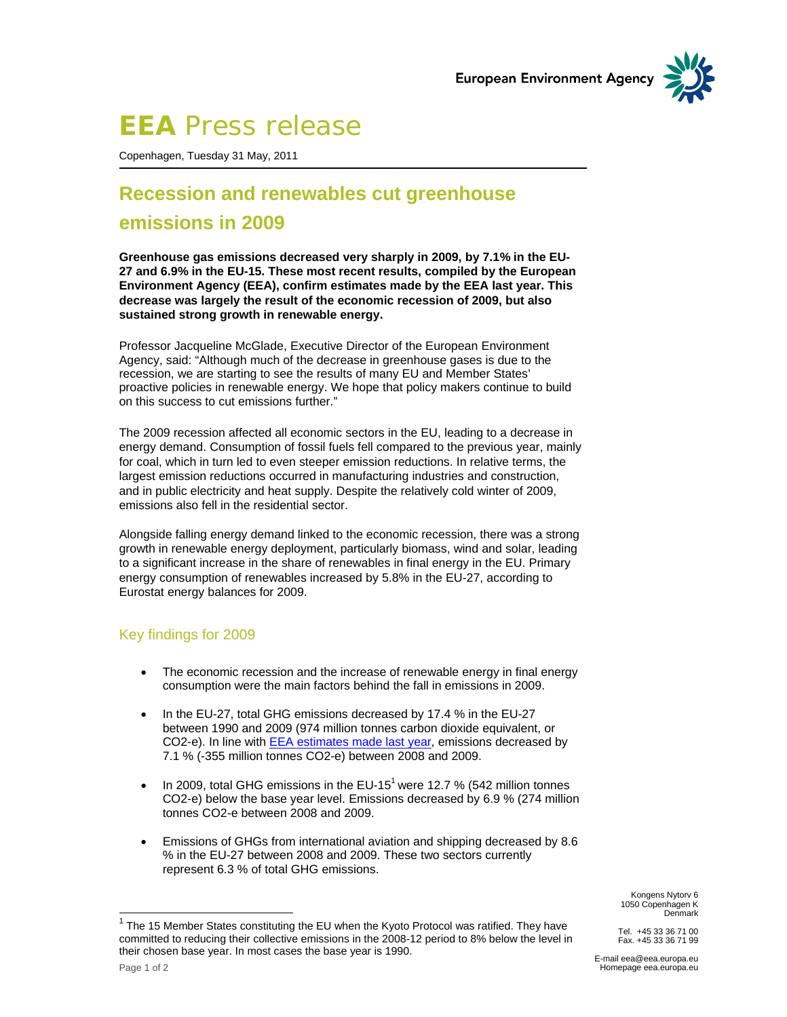

# **EEA** Press release

Copenhagen, Tuesday 31 May, 2011

# **Recession and renewables cut greenhouse emissions in 2009**

**Greenhouse gas emissions decreased very sharply in 2009, by 7.1% in the EU-27 and 6.9% in the EU-15. These most recent results, compiled by the European Environment Agency (EEA), confirm estimates made by the EEA last year. This decrease was largely the result of the economic recession of 2009, but also sustained strong growth in renewable energy.** 

Professor Jacqueline McGlade, Executive Director of the European Environment Agency, said: "Although much of the decrease in greenhouse gases is due to the recession, we are starting to see the results of many EU and Member States' proactive policies in renewable energy. We hope that policy makers continue to build on this success to cut emissions further."

The 2009 recession affected all economic sectors in the EU, leading to a decrease in energy demand. Consumption of fossil fuels fell compared to the previous year, mainly for coal, which in turn led to even steeper emission reductions. In relative terms, the largest emission reductions occurred in manufacturing industries and construction, and in public electricity and heat supply. Despite the relatively cold winter of 2009, emissions also fell in the residential sector.

Alongside falling energy demand linked to the economic recession, there was a strong growth in renewable energy deployment, particularly biomass, wind and solar, leading to a significant increase in the share of renewables in final energy in the EU. Primary energy consumption of renewables increased by 5.8% in the EU-27, according to Eurostat energy balances for 2009.

#### Key findings for 2009

- The economic recession and the increase of renewable energy in final energy consumption were the main factors behind the fall in emissions in 2009.
- In the EU-27, total GHG emissions decreased by 17.4 % in the EU-27 between 1990 and 2009 (974 million tonnes carbon dioxide equivalent, or CO2-e). In line with EEA estimates made last year, emissions decreased by 7.1 % (-355 million tonnes CO2-e) between 2008 and 2009.
- In 2009, total GHG emissions in the EU-15<sup>1</sup> were 12.7 % (542 million tonnes CO2-e) below the base year level. Emissions decreased by 6.9 % (274 million tonnes CO2-e between 2008 and 2009.
- Emissions of GHGs from international aviation and shipping decreased by 8.6 % in the EU-27 between 2008 and 2009. These two sectors currently represent 6.3 % of total GHG emissions.

Kongens Nytorv 6 1050 Copenhagen K Denmark

Tel. +45 33 36 71 00 Fax. +45 33 36 71 99

 $\overline{a}$ 

E-mail eea@eea.europa.eu Homepage eea.europa.eu

 $1$  The 15 Member States constituting the EU when the Kyoto Protocol was ratified. They have committed to reducing their collective emissions in the 2008-12 period to 8% below the level in their chosen base year. In most cases the base year is 1990.